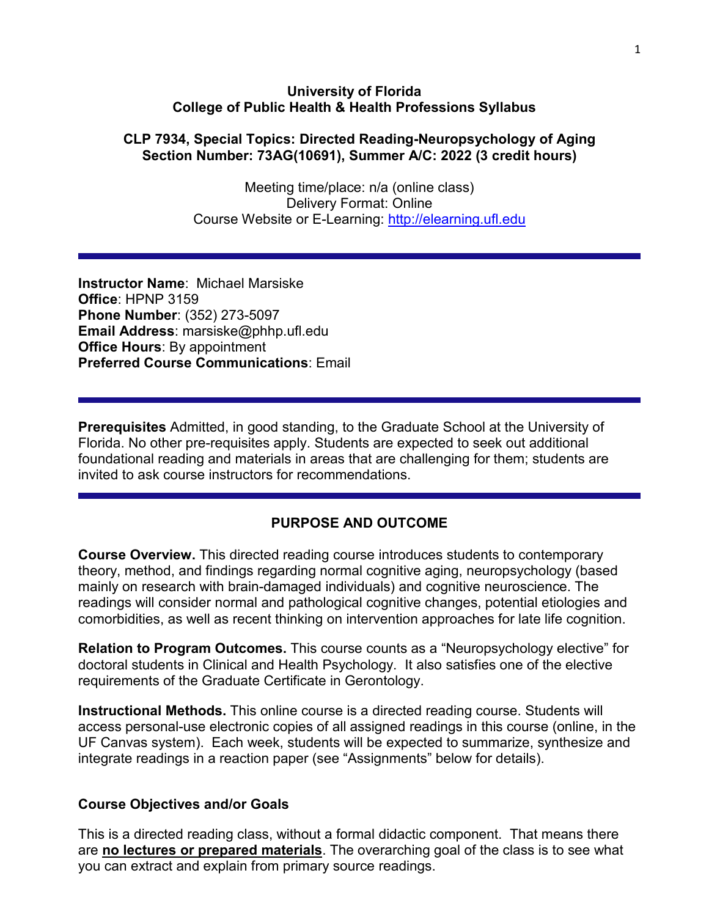#### **University of Florida College of Public Health & Health Professions Syllabus**

#### **CLP 7934, Special Topics: Directed Reading-Neuropsychology of Aging Section Number: 73AG(10691), Summer A/C: 2022 (3 credit hours)**

Meeting time/place: n/a (online class) Delivery Format: Online Course Website or E-Learning: [http://elearning.ufl.edu](http://elearning.ufl.edu/)

**Instructor Name**: Michael Marsiske **Office**: HPNP 3159 **Phone Number**: (352) 273-5097 **Email Address**: marsiske@phhp.ufl.edu **Office Hours**: By appointment **Preferred Course Communications**: Email

**Prerequisites** Admitted, in good standing, to the Graduate School at the University of Florida. No other pre-requisites apply. Students are expected to seek out additional foundational reading and materials in areas that are challenging for them; students are invited to ask course instructors for recommendations.

#### **PURPOSE AND OUTCOME**

**Course Overview.** This directed reading course introduces students to contemporary theory, method, and findings regarding normal cognitive aging, neuropsychology (based mainly on research with brain-damaged individuals) and cognitive neuroscience. The readings will consider normal and pathological cognitive changes, potential etiologies and comorbidities, as well as recent thinking on intervention approaches for late life cognition.

**Relation to Program Outcomes.** This course counts as a "Neuropsychology elective" for doctoral students in Clinical and Health Psychology. It also satisfies one of the elective requirements of the Graduate Certificate in Gerontology.

**Instructional Methods.** This online course is a directed reading course. Students will access personal-use electronic copies of all assigned readings in this course (online, in the UF Canvas system). Each week, students will be expected to summarize, synthesize and integrate readings in a reaction paper (see "Assignments" below for details).

#### **Course Objectives and/or Goals**

This is a directed reading class, without a formal didactic component. That means there are **no lectures or prepared materials**. The overarching goal of the class is to see what you can extract and explain from primary source readings.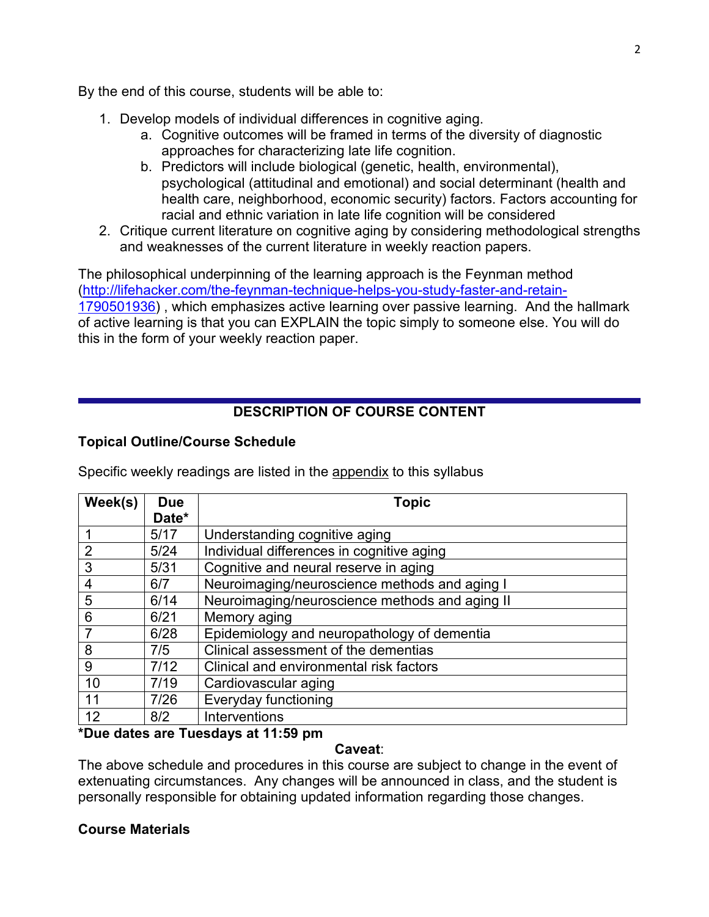By the end of this course, students will be able to:

- 1. Develop models of individual differences in cognitive aging.
	- a. Cognitive outcomes will be framed in terms of the diversity of diagnostic approaches for characterizing late life cognition.
	- b. Predictors will include biological (genetic, health, environmental), psychological (attitudinal and emotional) and social determinant (health and health care, neighborhood, economic security) factors. Factors accounting for racial and ethnic variation in late life cognition will be considered
- 2. Critique current literature on cognitive aging by considering methodological strengths and weaknesses of the current literature in weekly reaction papers.

The philosophical underpinning of the learning approach is the Feynman method [\(http://lifehacker.com/the-feynman-technique-helps-you-study-faster-and-retain-](http://lifehacker.com/the-feynman-technique-helps-you-study-faster-and-retain-1790501936)[1790501936\)](http://lifehacker.com/the-feynman-technique-helps-you-study-faster-and-retain-1790501936) , which emphasizes active learning over passive learning. And the hallmark of active learning is that you can EXPLAIN the topic simply to someone else. You will do this in the form of your weekly reaction paper.

## **DESCRIPTION OF COURSE CONTENT**

#### **Topical Outline/Course Schedule**

Specific weekly readings are listed in the appendix to this syllabus

| Week(s)        | Due    | <b>Topic</b>                                   |
|----------------|--------|------------------------------------------------|
|                | Date*  |                                                |
|                | 5/17   | Understanding cognitive aging                  |
| $\overline{2}$ | $5/24$ | Individual differences in cognitive aging      |
| 3              | 5/31   | Cognitive and neural reserve in aging          |
| 4              | 6/7    | Neuroimaging/neuroscience methods and aging I  |
| 5              | 6/14   | Neuroimaging/neuroscience methods and aging II |
| 6              | 6/21   | Memory aging                                   |
|                | 6/28   | Epidemiology and neuropathology of dementia    |
| 8              | 7/5    | Clinical assessment of the dementias           |
| 9              | 7/12   | Clinical and environmental risk factors        |
| 10             | 7/19   | Cardiovascular aging                           |
| 11             | 7/26   | Everyday functioning                           |
| 12             | 8/2    | Interventions                                  |

#### **\*Due dates are Tuesdays at 11:59 pm**

#### **Caveat**:

The above schedule and procedures in this course are subject to change in the event of extenuating circumstances. Any changes will be announced in class, and the student is personally responsible for obtaining updated information regarding those changes.

#### **Course Materials**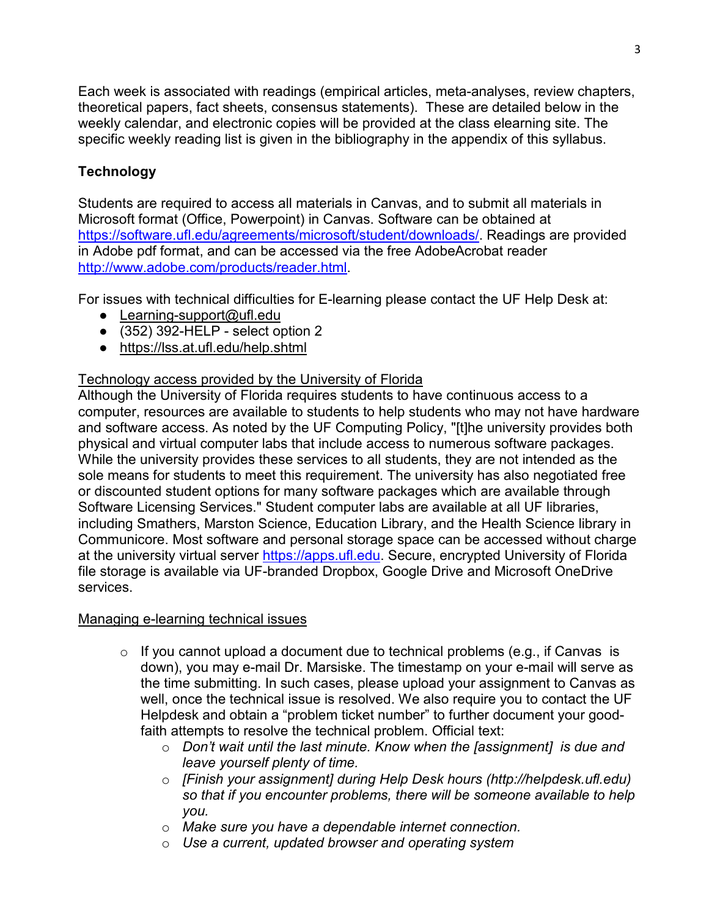Each week is associated with readings (empirical articles, meta-analyses, review chapters, theoretical papers, fact sheets, consensus statements). These are detailed below in the weekly calendar, and electronic copies will be provided at the class elearning site. The specific weekly reading list is given in the bibliography in the appendix of this syllabus.

# **Technology**

Students are required to access all materials in Canvas, and to submit all materials in Microsoft format (Office, Powerpoint) in Canvas. Software can be obtained at [https://software.ufl.edu/agreements/microsoft/student/downloads/.](https://software.ufl.edu/agreements/microsoft/student/downloads/) Readings are provided in Adobe pdf format, and can be accessed via the free AdobeAcrobat reader [http://www.adobe.com/products/reader.html.](http://www.adobe.com/products/reader.html)

For issues with technical difficulties for E-learning please contact the UF Help Desk at:

- Learning-support@ufl.edu
- $\bullet$  (352) 392-HELP select option 2
- <https://lss.at.ufl.edu/help.shtml>

## Technology access provided by the University of Florida

Although the University of Florida requires students to have continuous access to a computer, resources are available to students to help students who may not have hardware and software access. As noted by the UF Computing Policy, "[t]he university provides both physical and virtual computer labs that include access to numerous software packages. While the university provides these services to all students, they are not intended as the sole means for students to meet this requirement. The university has also negotiated free or discounted student options for many software packages which are available through Software Licensing Services." Student computer labs are available at all UF libraries, including Smathers, Marston Science, Education Library, and the Health Science library in Communicore. Most software and personal storage space can be accessed without charge at the university virtual server [https://apps.ufl.edu.](https://apps.ufl.edu/) Secure, encrypted University of Florida file storage is available via UF-branded Dropbox, Google Drive and Microsoft OneDrive services.

## Managing e-learning technical issues

- $\circ$  If you cannot upload a document due to technical problems (e.g., if Canvas is down), you may e-mail Dr. Marsiske. The timestamp on your e-mail will serve as the time submitting. In such cases, please upload your assignment to Canvas as well, once the technical issue is resolved. We also require you to contact the UF Helpdesk and obtain a "problem ticket number" to further document your goodfaith attempts to resolve the technical problem. Official text:
	- o *Don't wait until the last minute. Know when the [assignment] is due and leave yourself plenty of time.*
	- o *[Finish your assignment] during Help Desk hours (http://helpdesk.ufl.edu) so that if you encounter problems, there will be someone available to help you.*
	- o *Make sure you have a dependable internet connection.*
	- o *Use a current, updated browser and operating system*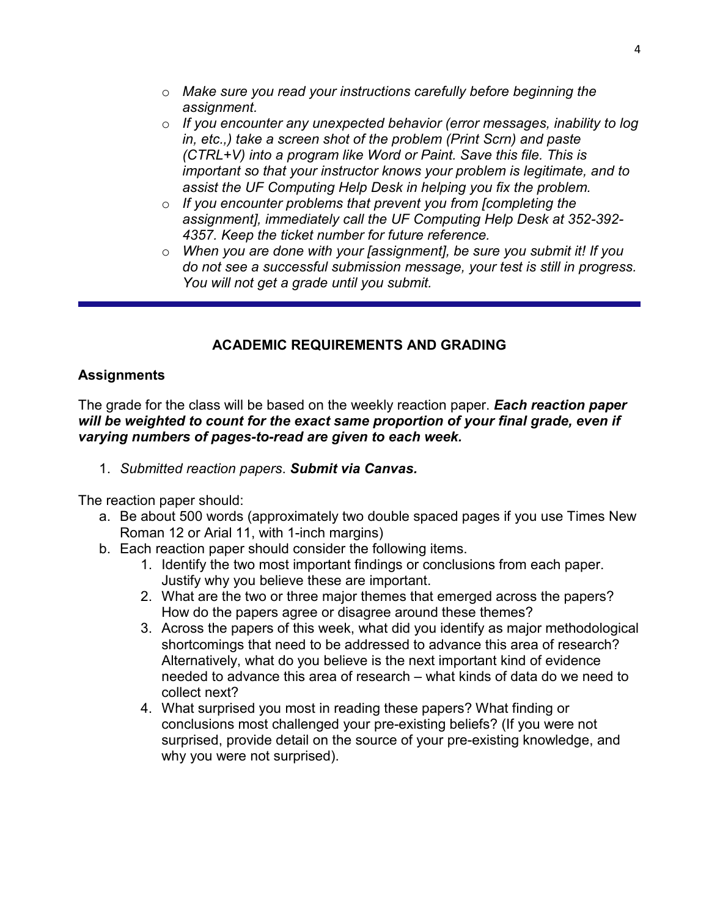- o *Make sure you read your instructions carefully before beginning the assignment.*
- o *If you encounter any unexpected behavior (error messages, inability to log in, etc.,) take a screen shot of the problem (Print Scrn) and paste (CTRL+V) into a program like Word or Paint. Save this file. This is important so that your instructor knows your problem is legitimate, and to assist the UF Computing Help Desk in helping you fix the problem.*
- o *If you encounter problems that prevent you from [completing the assignment], immediately call the UF Computing Help Desk at 352-392- 4357. Keep the ticket number for future reference.*
- o *When you are done with your [assignment], be sure you submit it! If you do not see a successful submission message, your test is still in progress. You will not get a grade until you submit.*

## **ACADEMIC REQUIREMENTS AND GRADING**

### **Assignments**

The grade for the class will be based on the weekly reaction paper. *Each reaction paper*  will be weighted to count for the exact same proportion of your final grade, even if *varying numbers of pages-to-read are given to each week.* 

1. *Submitted reaction papers*. *Submit via Canvas.*

The reaction paper should:

- a. Be about 500 words (approximately two double spaced pages if you use Times New Roman 12 or Arial 11, with 1-inch margins)
- b. Each reaction paper should consider the following items.
	- 1. Identify the two most important findings or conclusions from each paper. Justify why you believe these are important.
	- 2. What are the two or three major themes that emerged across the papers? How do the papers agree or disagree around these themes?
	- 3. Across the papers of this week, what did you identify as major methodological shortcomings that need to be addressed to advance this area of research? Alternatively, what do you believe is the next important kind of evidence needed to advance this area of research – what kinds of data do we need to collect next?
	- 4. What surprised you most in reading these papers? What finding or conclusions most challenged your pre-existing beliefs? (If you were not surprised, provide detail on the source of your pre-existing knowledge, and why you were not surprised).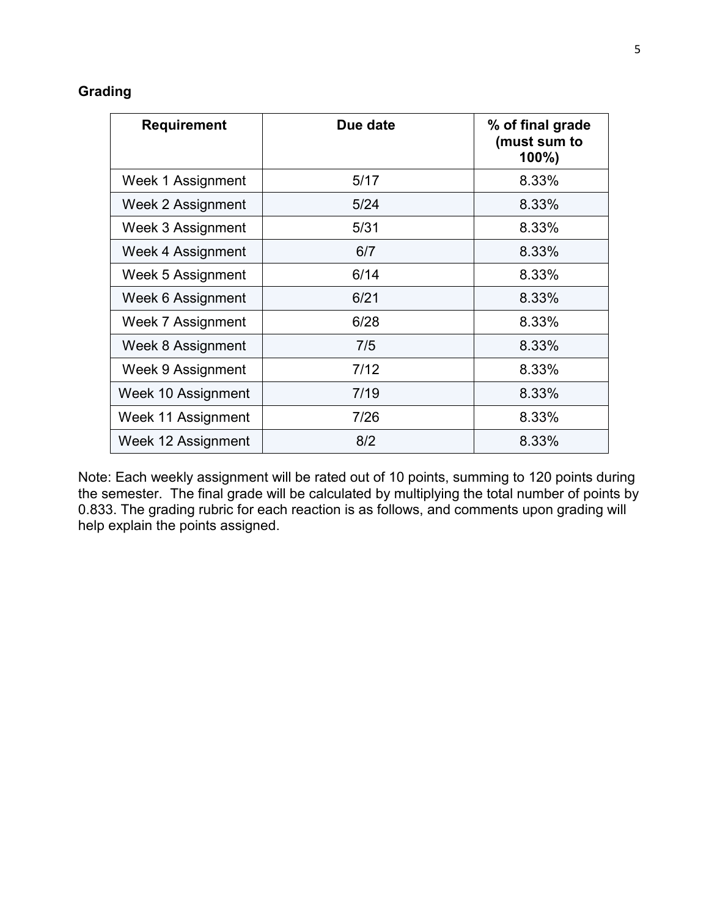## **Grading**

| <b>Requirement</b> | Due date | % of final grade<br>(must sum to<br>$100\%$ |
|--------------------|----------|---------------------------------------------|
| Week 1 Assignment  | 5/17     | 8.33%                                       |
| Week 2 Assignment  | 5/24     | 8.33%                                       |
| Week 3 Assignment  | 5/31     | 8.33%                                       |
| Week 4 Assignment  | 6/7      | 8.33%                                       |
| Week 5 Assignment  | 6/14     | 8.33%                                       |
| Week 6 Assignment  | 6/21     | 8.33%                                       |
| Week 7 Assignment  | 6/28     | 8.33%                                       |
| Week 8 Assignment  | 7/5      | 8.33%                                       |
| Week 9 Assignment  | 7/12     | 8.33%                                       |
| Week 10 Assignment | 7/19     | 8.33%                                       |
| Week 11 Assignment | 7/26     | 8.33%                                       |
| Week 12 Assignment | 8/2      | 8.33%                                       |

Note: Each weekly assignment will be rated out of 10 points, summing to 120 points during the semester. The final grade will be calculated by multiplying the total number of points by 0.833. The grading rubric for each reaction is as follows, and comments upon grading will help explain the points assigned.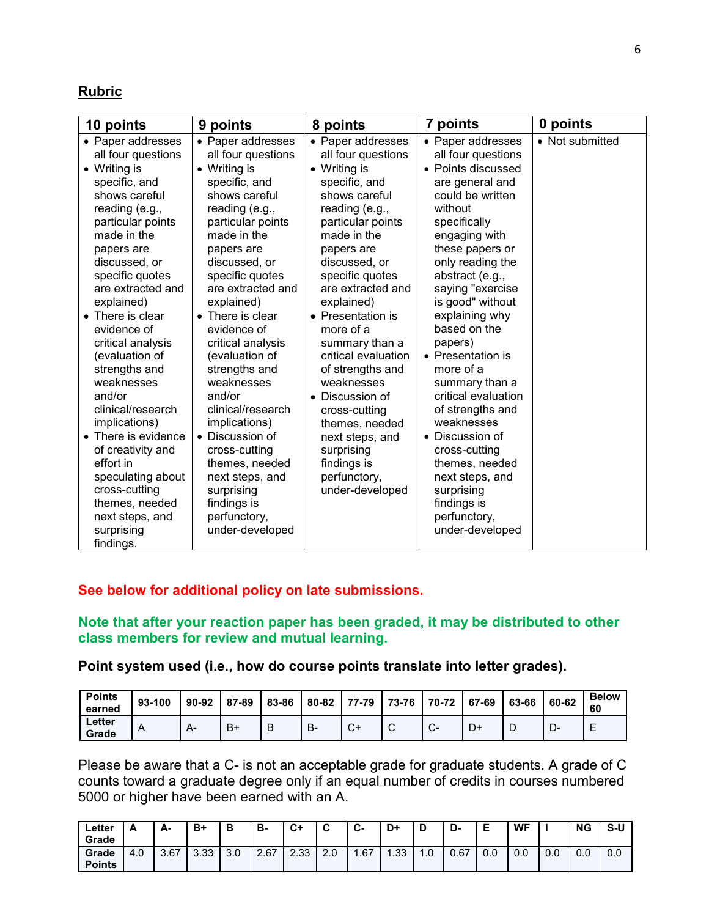#### **Rubric**

| 10 points                                                                                                                                                                                                                                                                                                                                                                                                                                                                                                                                                    | 9 points                                                                                                                                                                                                                                                                                                                                                                                                                                                                                                                               | 8 points                                                                                                                                                                                                                                                                                                                                                                                                                                                                                   | 7 points                                                                                                                                                                                                                                                                                                                                                                                                                                                                                                                                            | 0 points        |
|--------------------------------------------------------------------------------------------------------------------------------------------------------------------------------------------------------------------------------------------------------------------------------------------------------------------------------------------------------------------------------------------------------------------------------------------------------------------------------------------------------------------------------------------------------------|----------------------------------------------------------------------------------------------------------------------------------------------------------------------------------------------------------------------------------------------------------------------------------------------------------------------------------------------------------------------------------------------------------------------------------------------------------------------------------------------------------------------------------------|--------------------------------------------------------------------------------------------------------------------------------------------------------------------------------------------------------------------------------------------------------------------------------------------------------------------------------------------------------------------------------------------------------------------------------------------------------------------------------------------|-----------------------------------------------------------------------------------------------------------------------------------------------------------------------------------------------------------------------------------------------------------------------------------------------------------------------------------------------------------------------------------------------------------------------------------------------------------------------------------------------------------------------------------------------------|-----------------|
| • Paper addresses<br>all four questions<br>• Writing is<br>specific, and<br>shows careful<br>reading (e.g.,<br>particular points<br>made in the<br>papers are<br>discussed, or<br>specific quotes<br>are extracted and<br>explained)<br>• There is clear<br>evidence of<br>critical analysis<br>(evaluation of<br>strengths and<br>weaknesses<br>and/or<br>clinical/research<br>implications)<br>• There is evidence<br>of creativity and<br>effort in<br>speculating about<br>cross-cutting<br>themes, needed<br>next steps, and<br>surprising<br>findings. | • Paper addresses<br>all four questions<br>• Writing is<br>specific, and<br>shows careful<br>reading (e.g.,<br>particular points<br>made in the<br>papers are<br>discussed, or<br>specific quotes<br>are extracted and<br>explained)<br>• There is clear<br>evidence of<br>critical analysis<br>(evaluation of<br>strengths and<br>weaknesses<br>and/or<br>clinical/research<br>implications)<br>• Discussion of<br>cross-cutting<br>themes, needed<br>next steps, and<br>surprising<br>findings is<br>perfunctory,<br>under-developed | • Paper addresses<br>all four questions<br>• Writing is<br>specific, and<br>shows careful<br>reading (e.g.,<br>particular points<br>made in the<br>papers are<br>discussed, or<br>specific quotes<br>are extracted and<br>explained)<br>• Presentation is<br>more of a<br>summary than a<br>critical evaluation<br>of strengths and<br>weaknesses<br>• Discussion of<br>cross-cutting<br>themes, needed<br>next steps, and<br>surprising<br>findings is<br>perfunctory,<br>under-developed | • Paper addresses<br>all four questions<br>• Points discussed<br>are general and<br>could be written<br>without<br>specifically<br>engaging with<br>these papers or<br>only reading the<br>abstract (e.g.,<br>saying "exercise<br>is good" without<br>explaining why<br>based on the<br>papers)<br>• Presentation is<br>more of a<br>summary than a<br>critical evaluation<br>of strengths and<br>weaknesses<br>Discussion of<br>cross-cutting<br>themes, needed<br>next steps, and<br>surprising<br>findings is<br>perfunctory,<br>under-developed | • Not submitted |

#### **See below for additional policy on late submissions.**

**Note that after your reaction paper has been graded, it may be distributed to other class members for review and mutual learning.**

**Point system used (i.e., how do course points translate into letter grades).**

| <b>Points</b><br>earned | 93-100 | 90-92 | 87-89 | 83-86 | 80-82 | 77-79        | 73-76  | 70-72   | 67-69 | 63-66 | 60-62 | <b>Below</b><br>60 |
|-------------------------|--------|-------|-------|-------|-------|--------------|--------|---------|-------|-------|-------|--------------------|
| Letter<br>Grade         | A      | $H^-$ | B+    | В     | B-    | $\sim$<br>J. | ⌒<br>ັ | ⌒<br>J. | D+    | ◡     | - ∪∗  | -<br>−             |

Please be aware that a C- is not an acceptable grade for graduate students. A grade of C counts toward a graduate degree only if an equal number of credits in courses numbered 5000 or higher have been earned with an A.

| ∟etter<br>Grade        |             | А-   | B+   | в   | в-   | C+          | $\ddot{\phantom{1}}$<br>ີ | $\sim$<br>v- | D+  | D    | D-   |     | <b>WF</b> |     | <b>NG</b> | S-U |
|------------------------|-------------|------|------|-----|------|-------------|---------------------------|--------------|-----|------|------|-----|-----------|-----|-----------|-----|
| Grade<br><b>Points</b> | $+0.1$<br>4 | 3.67 | 3.33 | 3.0 | 2.67 | 22.<br>دد.ے | 2.0                       | .67          | .33 | 0. ا | 0.67 | 0.0 | 0.0       | 0.0 | 0.0       | 0.0 |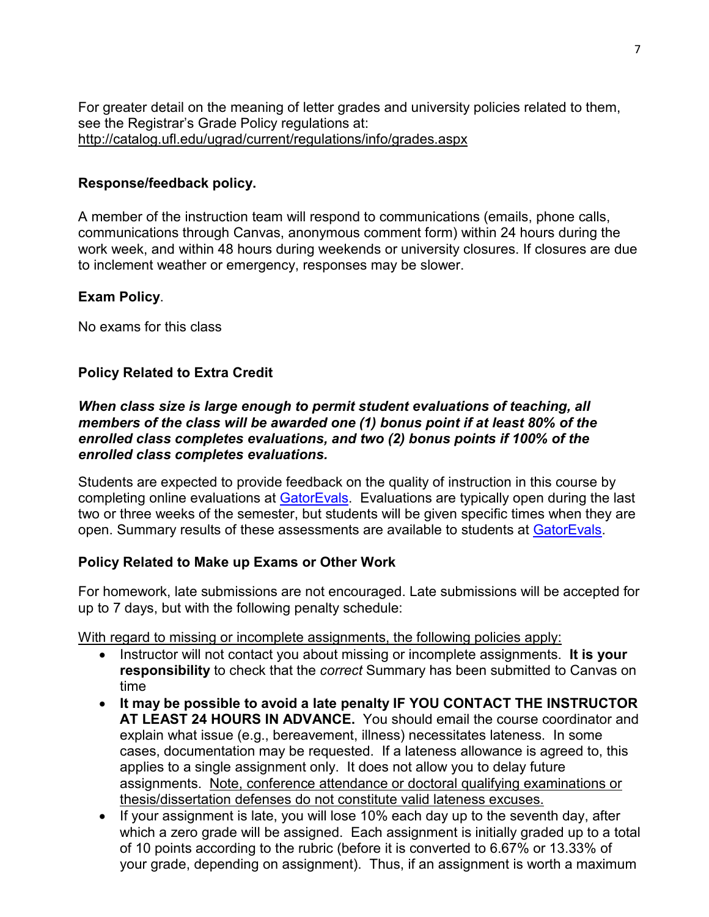For greater detail on the meaning of letter grades and university policies related to them, see the Registrar's Grade Policy regulations at: <http://catalog.ufl.edu/ugrad/current/regulations/info/grades.aspx>

#### **Response/feedback policy.**

A member of the instruction team will respond to communications (emails, phone calls, communications through Canvas, anonymous comment form) within 24 hours during the work week, and within 48 hours during weekends or university closures. If closures are due to inclement weather or emergency, responses may be slower.

### **Exam Policy**.

No exams for this class

## **Policy Related to Extra Credit**

### *When class size is large enough to permit student evaluations of teaching, all members of the class will be awarded one (1) bonus point if at least 80% of the enrolled class completes evaluations, and two (2) bonus points if 100% of the enrolled class completes evaluations.*

Students are expected to provide feedback on the quality of instruction in this course by completing online evaluations at [GatorEvals.](https://gatorevals.aa.ufl.edu/) Evaluations are typically open during the last two or three weeks of the semester, but students will be given specific times when they are open. Summary results of these assessments are available to students at [GatorEvals.](https://gatorevals.aa.ufl.edu/public-results/)

## **Policy Related to Make up Exams or Other Work**

For homework, late submissions are not encouraged. Late submissions will be accepted for up to 7 days, but with the following penalty schedule:

With regard to missing or incomplete assignments, the following policies apply:

- Instructor will not contact you about missing or incomplete assignments. **It is your responsibility** to check that the *correct* Summary has been submitted to Canvas on time
- **It may be possible to avoid a late penalty IF YOU CONTACT THE INSTRUCTOR AT LEAST 24 HOURS IN ADVANCE.** You should email the course coordinator and explain what issue (e.g., bereavement, illness) necessitates lateness. In some cases, documentation may be requested. If a lateness allowance is agreed to, this applies to a single assignment only. It does not allow you to delay future assignments. Note, conference attendance or doctoral qualifying examinations or thesis/dissertation defenses do not constitute valid lateness excuses.
- If your assignment is late, you will lose 10% each day up to the seventh day, after which a zero grade will be assigned. Each assignment is initially graded up to a total of 10 points according to the rubric (before it is converted to 6.67% or 13.33% of your grade, depending on assignment). Thus, if an assignment is worth a maximum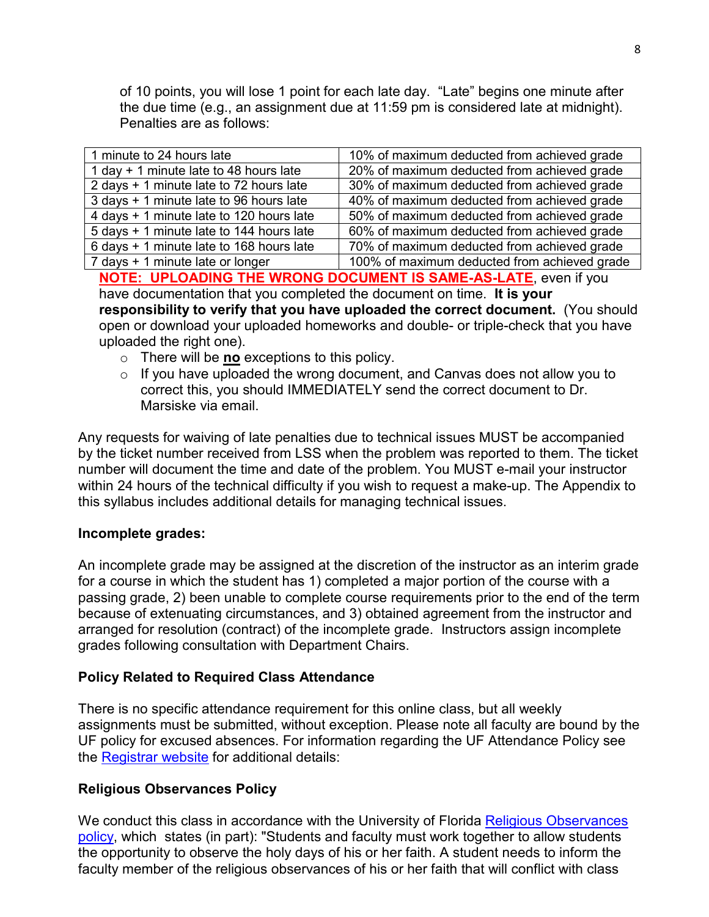of 10 points, you will lose 1 point for each late day. "Late" begins one minute after the due time (e.g., an assignment due at 11:59 pm is considered late at midnight). Penalties are as follows:

| 1 minute to 24 hours late                | 10% of maximum deducted from achieved grade  |
|------------------------------------------|----------------------------------------------|
| 1 day + 1 minute late to 48 hours late   | 20% of maximum deducted from achieved grade  |
| 2 days + 1 minute late to 72 hours late  | 30% of maximum deducted from achieved grade  |
| 3 days + 1 minute late to 96 hours late  | 40% of maximum deducted from achieved grade  |
| 4 days + 1 minute late to 120 hours late | 50% of maximum deducted from achieved grade  |
| 5 days + 1 minute late to 144 hours late | 60% of maximum deducted from achieved grade  |
| 6 days + 1 minute late to 168 hours late | 70% of maximum deducted from achieved grade  |
| 7 days + 1 minute late or longer         | 100% of maximum deducted from achieved grade |
|                                          |                                              |

**NOTE: UPLOADING THE WRONG DOCUMENT IS SAME-AS-LATE**, even if you have documentation that you completed the document on time. **It is your responsibility to verify that you have uploaded the correct document.** (You should open or download your uploaded homeworks and double- or triple-check that you have uploaded the right one).

- o There will be **no** exceptions to this policy.
- $\circ$  If you have uploaded the wrong document, and Canvas does not allow you to correct this, you should IMMEDIATELY send the correct document to Dr. Marsiske via email.

Any requests for waiving of late penalties due to technical issues MUST be accompanied by the ticket number received from LSS when the problem was reported to them. The ticket number will document the time and date of the problem. You MUST e-mail your instructor within 24 hours of the technical difficulty if you wish to request a make-up. The Appendix to this syllabus includes additional details for managing technical issues.

#### **Incomplete grades:**

An incomplete grade may be assigned at the discretion of the instructor as an interim grade for a course in which the student has 1) completed a major portion of the course with a passing grade, 2) been unable to complete course requirements prior to the end of the term because of extenuating circumstances, and 3) obtained agreement from the instructor and arranged for resolution (contract) of the incomplete grade. Instructors assign incomplete grades following consultation with Department Chairs.

### **Policy Related to Required Class Attendance**

There is no specific attendance requirement for this online class, but all weekly assignments must be submitted, without exception. Please note all faculty are bound by the UF policy for excused absences. For information regarding the UF Attendance Policy see the [Registrar website](http://www.registrar.ufl.edu/catalogarchive/01-02-catalog/academic_regulations/academic_regulations_013_.htm) for additional details:

#### **Religious Observances Policy**

We conduct this class in accordance with the University of Florida Religious Observances [policy,](https://administrativememo.ufl.edu/2018/10/uf-religious-observances-policy-3/) which states (in part): "Students and faculty must work together to allow students the opportunity to observe the holy days of his or her faith. A student needs to inform the faculty member of the religious observances of his or her faith that will conflict with class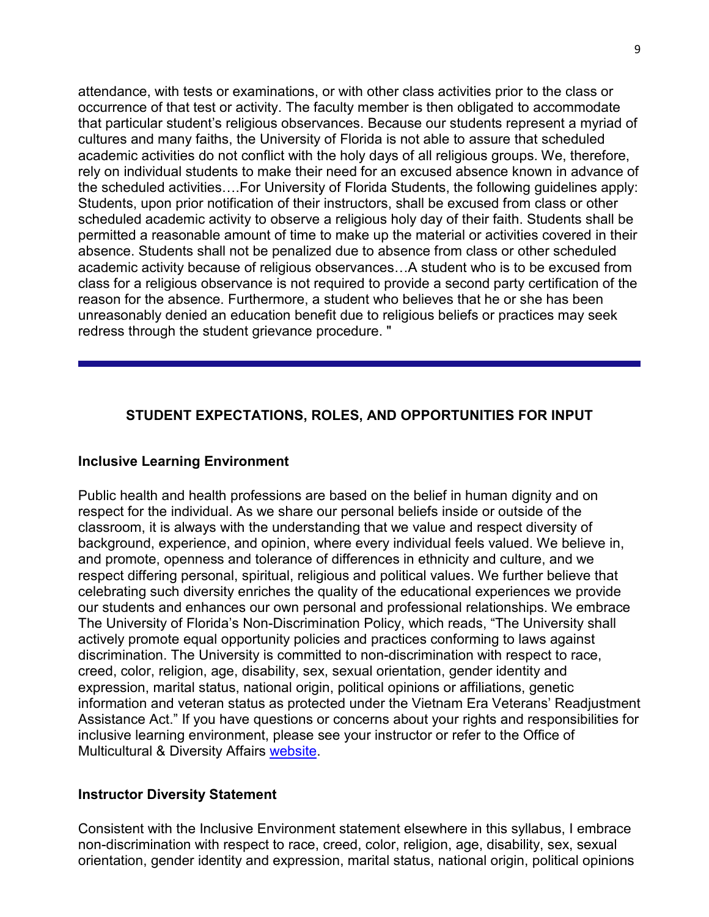attendance, with tests or examinations, or with other class activities prior to the class or occurrence of that test or activity. The faculty member is then obligated to accommodate that particular student's religious observances. Because our students represent a myriad of cultures and many faiths, the University of Florida is not able to assure that scheduled academic activities do not conflict with the holy days of all religious groups. We, therefore, rely on individual students to make their need for an excused absence known in advance of the scheduled activities….For University of Florida Students, the following guidelines apply: Students, upon prior notification of their instructors, shall be excused from class or other scheduled academic activity to observe a religious holy day of their faith. Students shall be permitted a reasonable amount of time to make up the material or activities covered in their absence. Students shall not be penalized due to absence from class or other scheduled academic activity because of religious observances…A student who is to be excused from class for a religious observance is not required to provide a second party certification of the reason for the absence. Furthermore, a student who believes that he or she has been unreasonably denied an education benefit due to religious beliefs or practices may seek redress through the student grievance procedure. "

### **STUDENT EXPECTATIONS, ROLES, AND OPPORTUNITIES FOR INPUT**

#### **Inclusive Learning Environment**

Public health and health professions are based on the belief in human dignity and on respect for the individual. As we share our personal beliefs inside or outside of the classroom, it is always with the understanding that we value and respect diversity of background, experience, and opinion, where every individual feels valued. We believe in, and promote, openness and tolerance of differences in ethnicity and culture, and we respect differing personal, spiritual, religious and political values. We further believe that celebrating such diversity enriches the quality of the educational experiences we provide our students and enhances our own personal and professional relationships. We embrace The University of Florida's Non-Discrimination Policy, which reads, "The University shall actively promote equal opportunity policies and practices conforming to laws against discrimination. The University is committed to non-discrimination with respect to race, creed, color, religion, age, disability, sex, sexual orientation, gender identity and expression, marital status, national origin, political opinions or affiliations, genetic information and veteran status as protected under the Vietnam Era Veterans' Readjustment Assistance Act." If you have questions or concerns about your rights and responsibilities for inclusive learning environment, please see your instructor or refer to the Office of Multicultural & Diversity Affairs [website.](http://www.multicultural.ufl.edu/)

#### **Instructor Diversity Statement**

Consistent with the Inclusive Environment statement elsewhere in this syllabus, I embrace non-discrimination with respect to race, creed, color, religion, age, disability, sex, sexual orientation, gender identity and expression, marital status, national origin, political opinions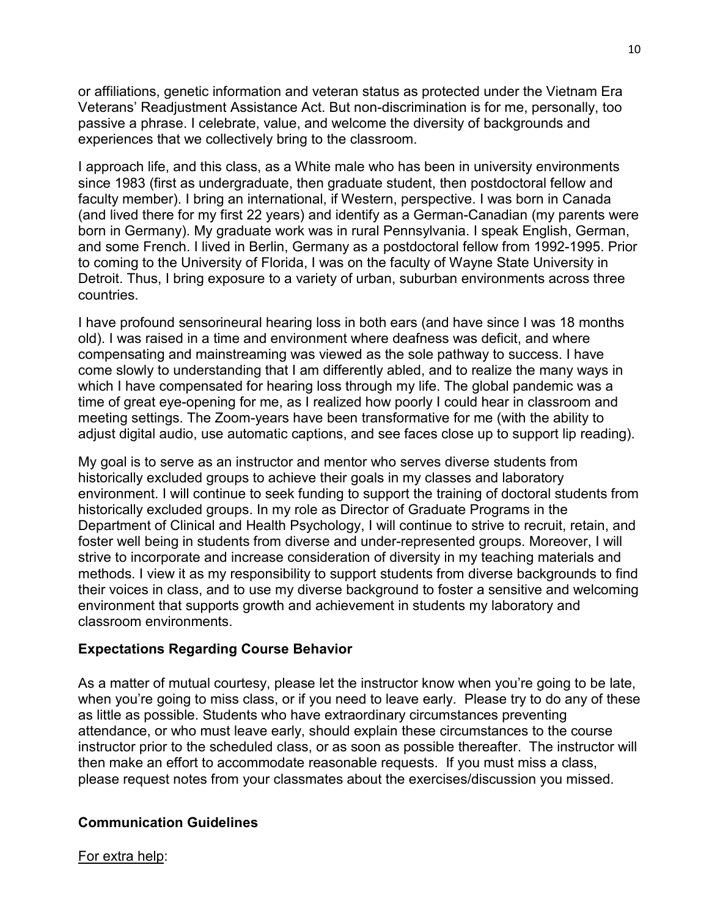or affiliations, genetic information and veteran status as protected under the Vietnam Era Veterans' Readjustment Assistance Act. But non-discrimination is for me, personally, too passive a phrase. I celebrate, value, and welcome the diversity of backgrounds and experiences that we collectively bring to the classroom.

I approach life, and this class, as a White male who has been in university environments since 1983 (first as undergraduate, then graduate student, then postdoctoral fellow and faculty member). I bring an international, if Western, perspective. I was born in Canada (and lived there for my first 22 years) and identify as a German-Canadian (my parents were born in Germany). My graduate work was in rural Pennsylvania. I speak English, German, and some French. I lived in Berlin, Germany as a postdoctoral fellow from 1992-1995. Prior to coming to the University of Florida, I was on the faculty of Wayne State University in Detroit. Thus, I bring exposure to a variety of urban, suburban environments across three countries.

I have profound sensorineural hearing loss in both ears (and have since I was 18 months old). I was raised in a time and environment where deafness was deficit, and where compensating and mainstreaming was viewed as the sole pathway to success. I have come slowly to understanding that I am differently abled, and to realize the many ways in which I have compensated for hearing loss through my life. The global pandemic was a time of great eye-opening for me, as I realized how poorly I could hear in classroom and meeting settings. The Zoom-years have been transformative for me (with the ability to adjust digital audio, use automatic captions, and see faces close up to support lip reading).

My goal is to serve as an instructor and mentor who serves diverse students from historically excluded groups to achieve their goals in my classes and laboratory environment. I will continue to seek funding to support the training of doctoral students from historically excluded groups. In my role as Director of Graduate Programs in the Department of Clinical and Health Psychology, I will continue to strive to recruit, retain, and foster well being in students from diverse and under-represented groups. Moreover, I will strive to incorporate and increase consideration of diversity in my teaching materials and methods. I view it as my responsibility to support students from diverse backgrounds to find their voices in class, and to use my diverse background to foster a sensitive and welcoming environment that supports growth and achievement in students my laboratory and classroom environments.

## **Expectations Regarding Course Behavior**

As a matter of mutual courtesy, please let the instructor know when you're going to be late, when you're going to miss class, or if you need to leave early. Please try to do any of these as little as possible. Students who have extraordinary circumstances preventing attendance, or who must leave early, should explain these circumstances to the course instructor prior to the scheduled class, or as soon as possible thereafter. The instructor will then make an effort to accommodate reasonable requests. If you must miss a class, please request notes from your classmates about the exercises/discussion you missed.

## **Communication Guidelines**

For extra help: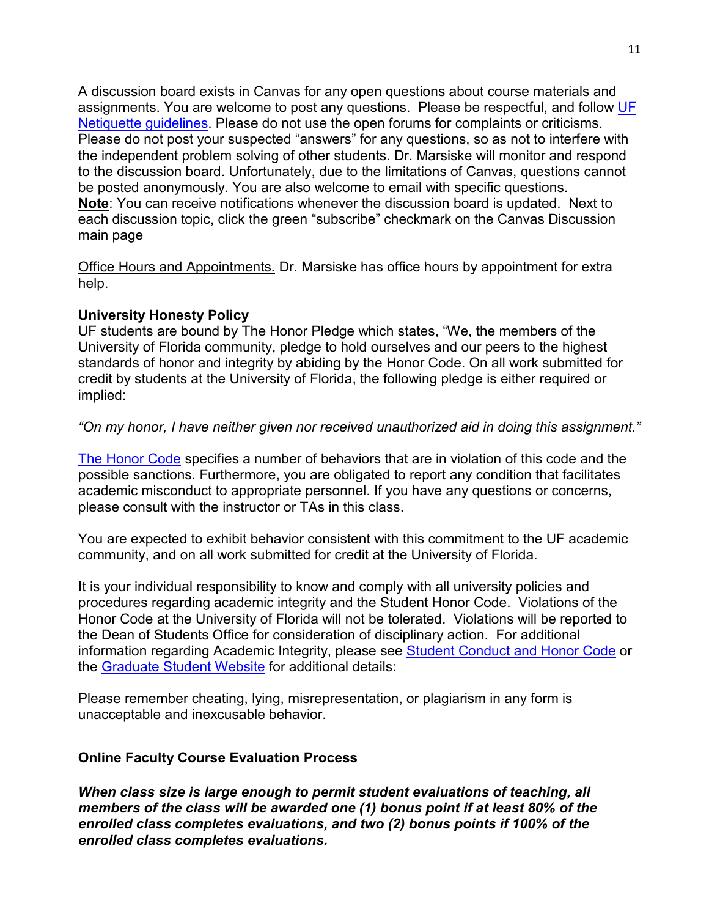A discussion board exists in Canvas for any open questions about course materials and assignments. You are welcome to post any questions. Please be respectful, and follow UF [Netiquette guidelines.](http://teach.ufl.edu/wp-content/uploads/2012/08/NetiquetteGuideforOnlineCourses.pdf) Please do not use the open forums for complaints or criticisms. Please do not post your suspected "answers" for any questions, so as not to interfere with the independent problem solving of other students. Dr. Marsiske will monitor and respond to the discussion board. Unfortunately, due to the limitations of Canvas, questions cannot be posted anonymously. You are also welcome to email with specific questions. **Note**: You can receive notifications whenever the discussion board is updated. Next to each discussion topic, click the green "subscribe" checkmark on the Canvas Discussion main page

Office Hours and Appointments*.* Dr. Marsiske has office hours by appointment for extra help.

### **University Honesty Policy**

UF students are bound by The Honor Pledge which states, "We, the members of the University of Florida community, pledge to hold ourselves and our peers to the highest standards of honor and integrity by abiding by the Honor Code. On all work submitted for credit by students at the University of Florida, the following pledge is either required or implied:

### *"On my honor, I have neither given nor received unauthorized aid in doing this assignment."*

[The Honor Code](https://www.dso.ufl.edu/sccr/process/student-conduct-honor-code/) specifies a number of behaviors that are in violation of this code and the possible sanctions. Furthermore, you are obligated to report any condition that facilitates academic misconduct to appropriate personnel. If you have any questions or concerns, please consult with the instructor or TAs in this class.

You are expected to exhibit behavior consistent with this commitment to the UF academic community, and on all work submitted for credit at the University of Florida.

It is your individual responsibility to know and comply with all university policies and procedures regarding academic integrity and the Student Honor Code. Violations of the Honor Code at the University of Florida will not be tolerated. Violations will be reported to the Dean of Students Office for consideration of disciplinary action. For additional information regarding Academic Integrity, please see Student [Conduct](https://www.dso.ufl.edu/sccr/process/student-conduct-honor-code/) and Honor Code or the [Graduate](http://gradschool.ufl.edu/students/introduction.html) Student Website for additional details:

Please remember cheating, lying, misrepresentation, or plagiarism in any form is unacceptable and inexcusable behavior.

#### **Online Faculty Course Evaluation Process**

*When class size is large enough to permit student evaluations of teaching, all members of the class will be awarded one (1) bonus point if at least 80% of the enrolled class completes evaluations, and two (2) bonus points if 100% of the enrolled class completes evaluations.*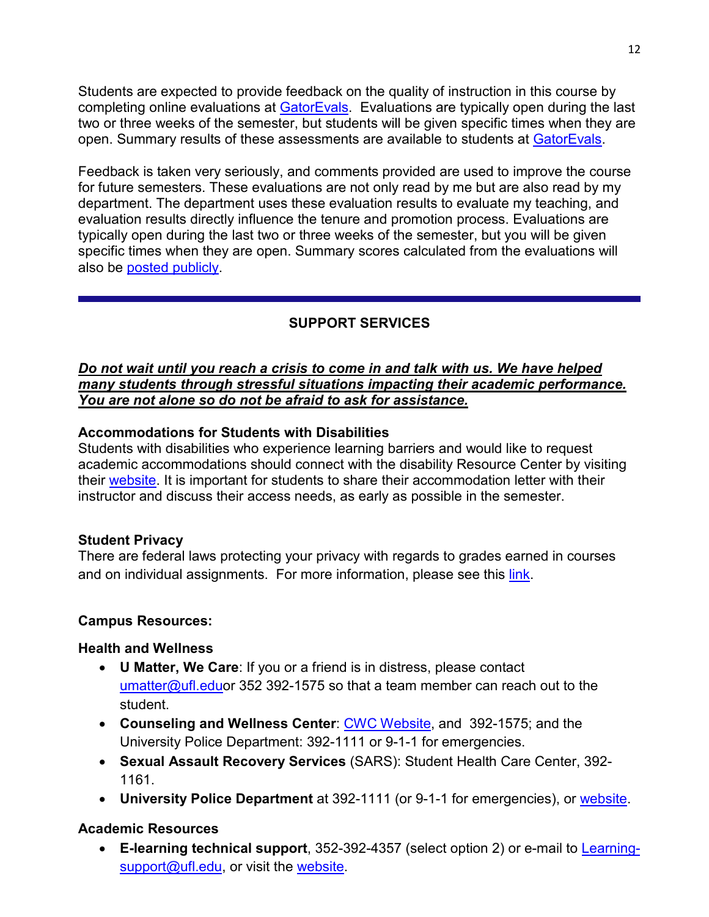Students are expected to provide feedback on the quality of instruction in this course by completing online evaluations at [GatorEvals.](https://gatorevals.aa.ufl.edu/) Evaluations are typically open during the last two or three weeks of the semester, but students will be given specific times when they are open. Summary results of these assessments are available to students at [GatorEvals.](https://gatorevals.aa.ufl.edu/)

Feedback is taken very seriously, and comments provided are used to improve the course for future semesters. These evaluations are not only read by me but are also read by my department. The department uses these evaluation results to evaluate my teaching, and evaluation results directly influence the tenure and promotion process. Evaluations are typically open during the last two or three weeks of the semester, but you will be given specific times when they are open. Summary scores calculated from the evaluations will also be posted [publicly.](https://gatorevals.aa.ufl.edu/public-results/)

## **SUPPORT SERVICES**

#### *Do not wait until you reach a crisis to come in and talk with us. We have helped many students through stressful situations impacting their academic performance. You are not alone so do not be afraid to ask for assistance.*

### **Accommodations for Students with Disabilities**

Students with disabilities who experience learning barriers and would like to request academic accommodations should connect with the disability Resource Center by visiting their [website.](https://disability.ufl.edu/students/get-started/) It is important for students to share their accommodation letter with their instructor and discuss their access needs, as early as possible in the semester.

## **Student Privacy**

There are federal laws protecting your privacy with regards to grades earned in courses and on individual assignments. For more information, please see this [link.](http://registrar.ufl.edu/catalog0910/policies/regulationferpa.html)

## **Campus Resources:**

## **Health and Wellness**

- **U Matter, We Care**: If you or a friend is in distress, please contact [umatter@ufl.eduo](mailto:umatter@ufl.edu)r 352 392-1575 so that a team member can reach out to the student.
- **Counseling and Wellness Center**: [CWC Website,](http://www.counseling.ufl.edu/cwc) and 392-1575; and the University Police Department: 392-1111 or 9-1-1 for emergencies.
- **Sexual Assault Recovery Services** (SARS): Student Health Care Center, 392- 1161.
- **University Police Department** at 392-1111 (or 9-1-1 for emergencies), or [website.](http://www.police.ufl.edu/)

## **Academic Resources**

• **E-learning technical support**, 352-392-4357 (select option 2) or e-mail to [Learning](mailto:Learning-support@ufl.edu)[support@ufl.edu,](mailto:Learning-support@ufl.edu) or visit the [website.](https://lss.at.ufl.edu/help.shtml)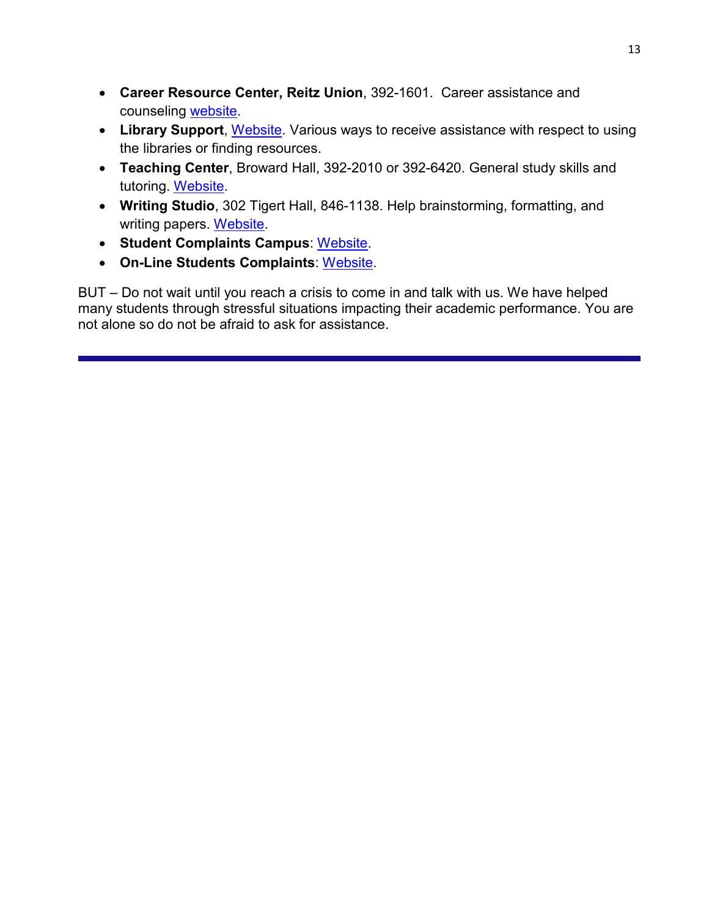- **Career Resource Center, Reitz Union**, 392-1601. Career assistance and counseling [website.](https://www.crc.ufl.edu/)
- **Library Support**, [Website.](http://cms.uflib.ufl.edu/ask) Various ways to receive assistance with respect to using the libraries or finding resources.
- **Teaching Center**, Broward Hall, 392-2010 or 392-6420. General study skills and tutoring. [Website.](https://teachingcenter.ufl.edu/)
- **Writing Studio**, 302 Tigert Hall, 846-1138. Help brainstorming, formatting, and writing papers. [Website.](https://writing.ufl.edu/writing-studio/)
- **Student Complaints Campus**: [Website.](https://www.dso.ufl.edu/documents/UF_Complaints_policy.pdf)
- **On-Line Students Complaints**: [Website.](http://www.distance.ufl.edu/student-complaint-process)

BUT – Do not wait until you reach a crisis to come in and talk with us. We have helped many students through stressful situations impacting their academic performance. You are not alone so do not be afraid to ask for assistance.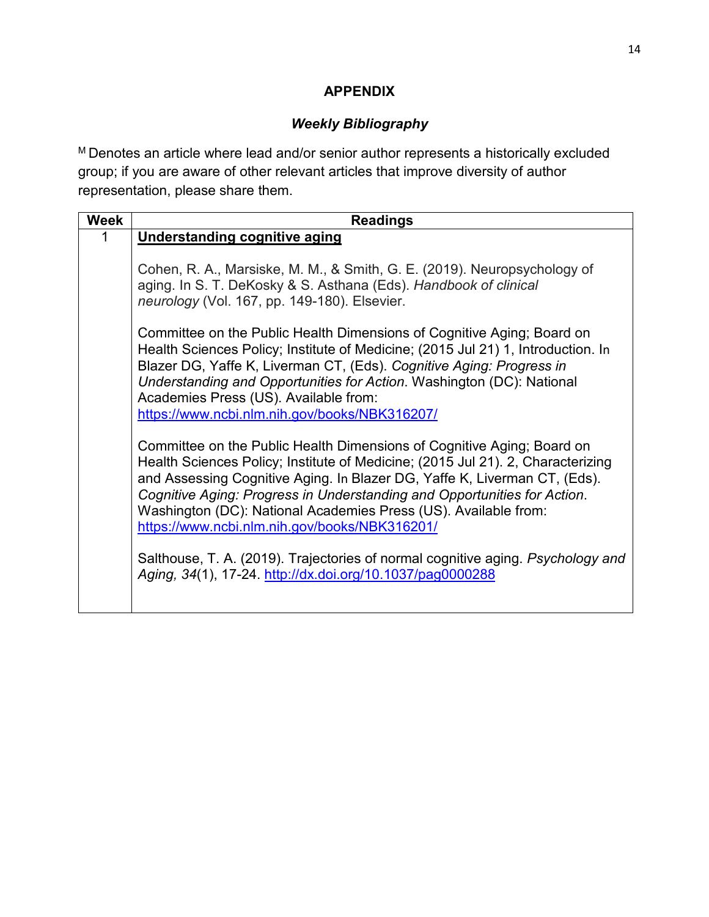## **APPENDIX**

# *Weekly Bibliography*

M Denotes an article where lead and/or senior author represents a historically excluded group; if you are aware of other relevant articles that improve diversity of author representation, please share them.

| <b>Week</b> | <b>Readings</b>                                                                                                                                            |
|-------------|------------------------------------------------------------------------------------------------------------------------------------------------------------|
|             | Understanding cognitive aging                                                                                                                              |
|             |                                                                                                                                                            |
|             | Cohen, R. A., Marsiske, M. M., & Smith, G. E. (2019). Neuropsychology of                                                                                   |
|             | aging. In S. T. DeKosky & S. Asthana (Eds). Handbook of clinical                                                                                           |
|             | neurology (Vol. 167, pp. 149-180). Elsevier.                                                                                                               |
|             |                                                                                                                                                            |
|             | Committee on the Public Health Dimensions of Cognitive Aging; Board on<br>Health Sciences Policy; Institute of Medicine; (2015 Jul 21) 1, Introduction. In |
|             | Blazer DG, Yaffe K, Liverman CT, (Eds). Cognitive Aging: Progress in                                                                                       |
|             | Understanding and Opportunities for Action. Washington (DC): National                                                                                      |
|             | Academies Press (US). Available from:                                                                                                                      |
|             | https://www.ncbi.nlm.nih.gov/books/NBK316207/                                                                                                              |
|             |                                                                                                                                                            |
|             | Committee on the Public Health Dimensions of Cognitive Aging; Board on                                                                                     |
|             | Health Sciences Policy; Institute of Medicine; (2015 Jul 21). 2, Characterizing                                                                            |
|             | and Assessing Cognitive Aging. In Blazer DG, Yaffe K, Liverman CT, (Eds).                                                                                  |
|             | Cognitive Aging: Progress in Understanding and Opportunities for Action.                                                                                   |
|             | Washington (DC): National Academies Press (US). Available from:                                                                                            |
|             | https://www.ncbi.nlm.nih.gov/books/NBK316201/                                                                                                              |
|             | Salthouse, T. A. (2019). Trajectories of normal cognitive aging. Psychology and                                                                            |
|             | Aging, 34(1), 17-24. http://dx.doi.org/10.1037/pag0000288                                                                                                  |
|             |                                                                                                                                                            |
|             |                                                                                                                                                            |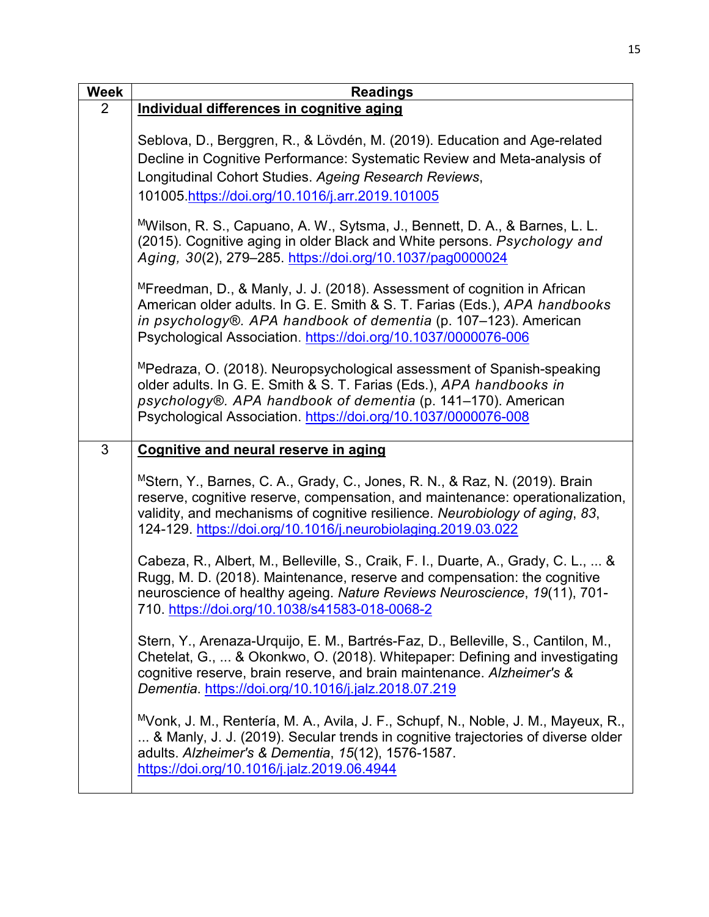| <b>Week</b>    | <b>Readings</b>                                                                                                                                                                                                                                                                                                            |
|----------------|----------------------------------------------------------------------------------------------------------------------------------------------------------------------------------------------------------------------------------------------------------------------------------------------------------------------------|
| $\overline{2}$ | Individual differences in cognitive aging                                                                                                                                                                                                                                                                                  |
|                | Seblova, D., Berggren, R., & Lövdén, M. (2019). Education and Age-related<br>Decline in Cognitive Performance: Systematic Review and Meta-analysis of<br>Longitudinal Cohort Studies. Ageing Research Reviews,<br>101005.https://doi.org/10.1016/j.arr.2019.101005                                                         |
|                | <sup>M</sup> Wilson, R. S., Capuano, A. W., Sytsma, J., Bennett, D. A., & Barnes, L. L.<br>(2015). Cognitive aging in older Black and White persons. Psychology and<br>Aging, 30(2), 279-285. https://doi.org/10.1037/pag0000024                                                                                           |
|                | MFreedman, D., & Manly, J. J. (2018). Assessment of cognition in African<br>American older adults. In G. E. Smith & S. T. Farias (Eds.), APA handbooks<br>in psychology®. APA handbook of dementia (p. 107-123). American<br>Psychological Association. https://doi.org/10.1037/0000076-006                                |
|                | MPedraza, O. (2018). Neuropsychological assessment of Spanish-speaking<br>older adults. In G. E. Smith & S. T. Farias (Eds.), APA handbooks in<br>psychology®. APA handbook of dementia (p. 141-170). American<br>Psychological Association. https://doi.org/10.1037/0000076-008                                           |
| 3              | Cognitive and neural reserve in aging                                                                                                                                                                                                                                                                                      |
|                | <sup>M</sup> Stern, Y., Barnes, C. A., Grady, C., Jones, R. N., & Raz, N. (2019). Brain<br>reserve, cognitive reserve, compensation, and maintenance: operationalization,<br>validity, and mechanisms of cognitive resilience. Neurobiology of aging, 83,<br>124-129. https://doi.org/10.1016/j.neurobiolaging.2019.03.022 |
|                | Cabeza, R., Albert, M., Belleville, S., Craik, F. I., Duarte, A., Grady, C. L.,  &<br>Rugg, M. D. (2018). Maintenance, reserve and compensation: the cognitive<br>neuroscience of healthy ageing. Nature Reviews Neuroscience, 19(11), 701-<br>710. https://doi.org/10.1038/s41583-018-0068-2                              |
|                | Stern, Y., Arenaza-Urquijo, E. M., Bartrés-Faz, D., Belleville, S., Cantilon, M.,<br>Chetelat, G.,  & Okonkwo, O. (2018). Whitepaper: Defining and investigating<br>cognitive reserve, brain reserve, and brain maintenance. Alzheimer's &<br>Dementia. https://doi.org/10.1016/j.jalz.2018.07.219                         |
|                | MVonk, J. M., Rentería, M. A., Avila, J. F., Schupf, N., Noble, J. M., Mayeux, R.,<br>& Manly, J. J. (2019). Secular trends in cognitive trajectories of diverse older<br>adults. Alzheimer's & Dementia, 15(12), 1576-1587.<br>https://doi.org/10.1016/j.jalz.2019.06.4944                                                |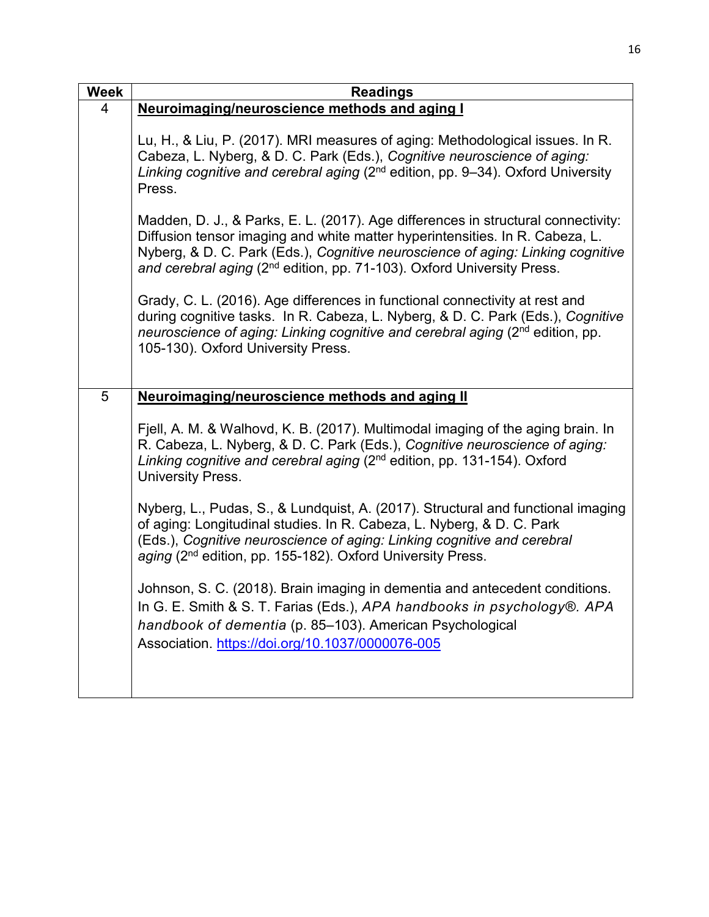| <b>Week</b> | <b>Readings</b>                                                                                                                                                                                                                                                                                                                            |
|-------------|--------------------------------------------------------------------------------------------------------------------------------------------------------------------------------------------------------------------------------------------------------------------------------------------------------------------------------------------|
| 4           | Neuroimaging/neuroscience methods and aging I                                                                                                                                                                                                                                                                                              |
|             | Lu, H., & Liu, P. (2017). MRI measures of aging: Methodological issues. In R.<br>Cabeza, L. Nyberg, & D. C. Park (Eds.), Cognitive neuroscience of aging:<br>Linking cognitive and cerebral aging (2 <sup>nd</sup> edition, pp. 9-34). Oxford University<br>Press.                                                                         |
|             | Madden, D. J., & Parks, E. L. (2017). Age differences in structural connectivity:<br>Diffusion tensor imaging and white matter hyperintensities. In R. Cabeza, L.<br>Nyberg, & D. C. Park (Eds.), Cognitive neuroscience of aging: Linking cognitive<br>and cerebral aging (2 <sup>nd</sup> edition, pp. 71-103). Oxford University Press. |
|             | Grady, C. L. (2016). Age differences in functional connectivity at rest and<br>during cognitive tasks. In R. Cabeza, L. Nyberg, & D. C. Park (Eds.), Cognitive<br>neuroscience of aging: Linking cognitive and cerebral aging (2 <sup>nd</sup> edition, pp.<br>105-130). Oxford University Press.                                          |
| 5           | Neuroimaging/neuroscience methods and aging II                                                                                                                                                                                                                                                                                             |
|             |                                                                                                                                                                                                                                                                                                                                            |
|             | Fjell, A. M. & Walhovd, K. B. (2017). Multimodal imaging of the aging brain. In<br>R. Cabeza, L. Nyberg, & D. C. Park (Eds.), Cognitive neuroscience of aging:<br>Linking cognitive and cerebral aging (2 <sup>nd</sup> edition, pp. 131-154). Oxford<br><b>University Press.</b>                                                          |
|             | Nyberg, L., Pudas, S., & Lundquist, A. (2017). Structural and functional imaging<br>of aging: Longitudinal studies. In R. Cabeza, L. Nyberg, & D. C. Park<br>(Eds.), Cognitive neuroscience of aging: Linking cognitive and cerebral<br>aging (2 <sup>nd</sup> edition, pp. 155-182). Oxford University Press.                             |
|             | Johnson, S. C. (2018). Brain imaging in dementia and antecedent conditions.<br>In G. E. Smith & S. T. Farias (Eds.), APA handbooks in psychology®. APA<br>handbook of dementia (p. 85-103). American Psychological<br>Association. https://doi.org/10.1037/0000076-005                                                                     |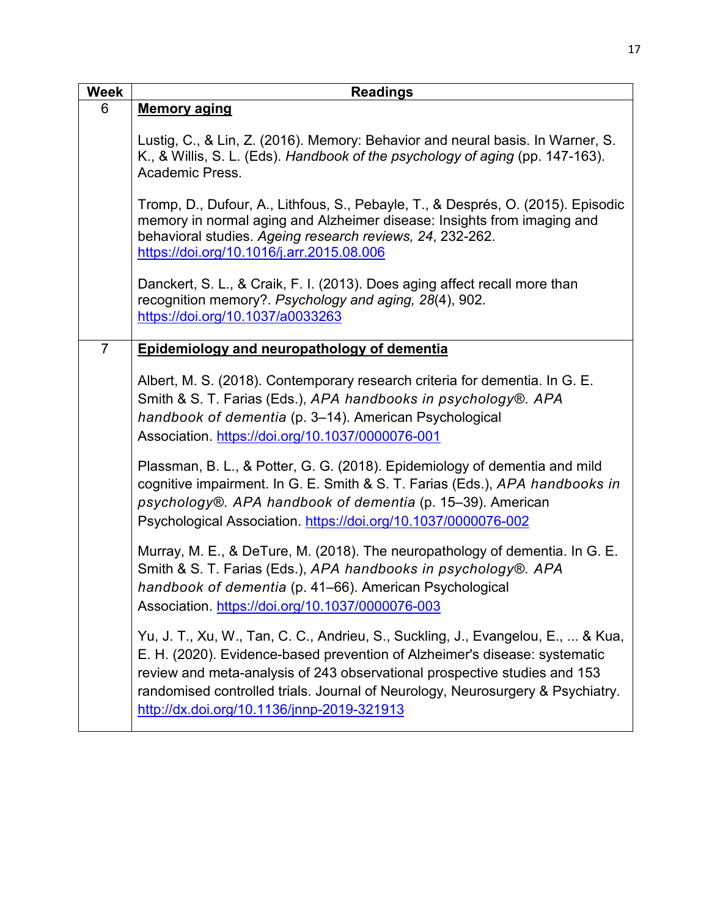| <b>Week</b>    | <b>Readings</b>                                                                                                                                                                                                                                                                                                                                                             |
|----------------|-----------------------------------------------------------------------------------------------------------------------------------------------------------------------------------------------------------------------------------------------------------------------------------------------------------------------------------------------------------------------------|
| 6              | <b>Memory aging</b>                                                                                                                                                                                                                                                                                                                                                         |
|                | Lustig, C., & Lin, Z. (2016). Memory: Behavior and neural basis. In Warner, S.<br>K., & Willis, S. L. (Eds). Handbook of the psychology of aging (pp. 147-163).<br>Academic Press.                                                                                                                                                                                          |
|                | Tromp, D., Dufour, A., Lithfous, S., Pebayle, T., & Després, O. (2015). Episodic<br>memory in normal aging and Alzheimer disease: Insights from imaging and<br>behavioral studies. Ageing research reviews, 24, 232-262.<br>https://doi.org/10.1016/j.arr.2015.08.006                                                                                                       |
|                | Danckert, S. L., & Craik, F. I. (2013). Does aging affect recall more than<br>recognition memory?. Psychology and aging, 28(4), 902.<br>https://doi.org/10.1037/a0033263                                                                                                                                                                                                    |
| $\overline{7}$ | Epidemiology and neuropathology of dementia                                                                                                                                                                                                                                                                                                                                 |
|                | Albert, M. S. (2018). Contemporary research criteria for dementia. In G. E.<br>Smith & S. T. Farias (Eds.), APA handbooks in psychology®. APA<br>handbook of dementia (p. 3-14). American Psychological<br>Association. https://doi.org/10.1037/0000076-001                                                                                                                 |
|                | Plassman, B. L., & Potter, G. G. (2018). Epidemiology of dementia and mild<br>cognitive impairment. In G. E. Smith & S. T. Farias (Eds.), APA handbooks in<br>psychology®. APA handbook of dementia (p. 15-39). American<br>Psychological Association. https://doi.org/10.1037/0000076-002                                                                                  |
|                | Murray, M. E., & DeTure, M. (2018). The neuropathology of dementia. In G. E.<br>Smith & S. T. Farias (Eds.), APA handbooks in psychology®. APA<br>handbook of dementia (p. 41-66). American Psychological<br>Association. https://doi.org/10.1037/0000076-003                                                                                                               |
|                | Yu, J. T., Xu, W., Tan, C. C., Andrieu, S., Suckling, J., Evangelou, E.,  & Kua,<br>E. H. (2020). Evidence-based prevention of Alzheimer's disease: systematic<br>review and meta-analysis of 243 observational prospective studies and 153<br>randomised controlled trials. Journal of Neurology, Neurosurgery & Psychiatry.<br>http://dx.doi.org/10.1136/jnnp-2019-321913 |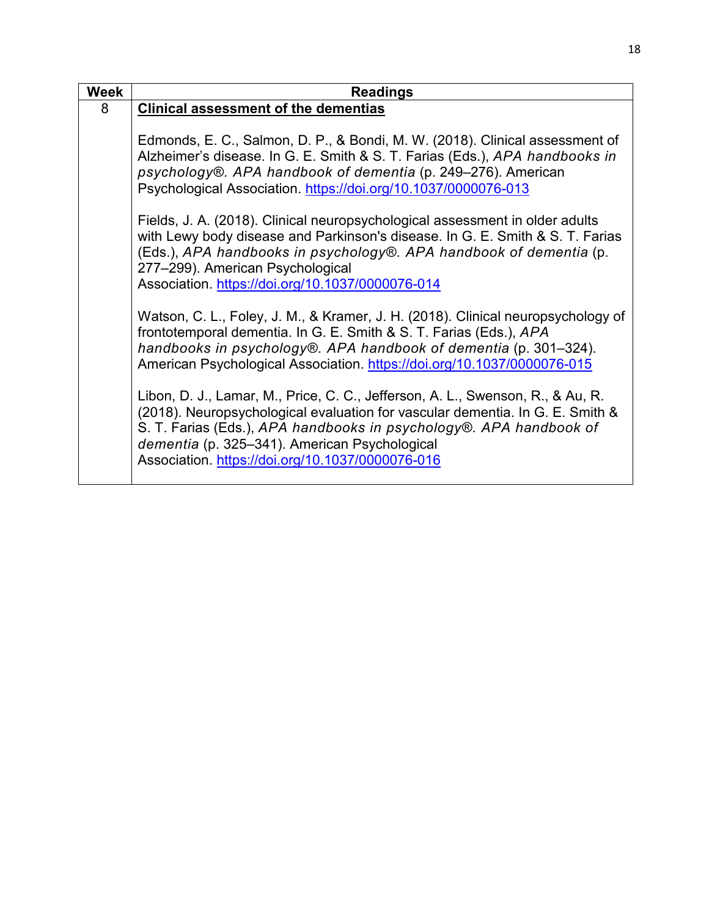| <b>Week</b> | <b>Readings</b>                                                                                                                                                                                                                                                                                                                                                               |
|-------------|-------------------------------------------------------------------------------------------------------------------------------------------------------------------------------------------------------------------------------------------------------------------------------------------------------------------------------------------------------------------------------|
| 8           | <b>Clinical assessment of the dementias</b>                                                                                                                                                                                                                                                                                                                                   |
|             | Edmonds, E. C., Salmon, D. P., & Bondi, M. W. (2018). Clinical assessment of<br>Alzheimer's disease. In G. E. Smith & S. T. Farias (Eds.), APA handbooks in<br>psychology®. APA handbook of dementia (p. 249–276). American<br>Psychological Association. https://doi.org/10.1037/0000076-013<br>Fields, J. A. (2018). Clinical neuropsychological assessment in older adults |
|             | with Lewy body disease and Parkinson's disease. In G. E. Smith & S. T. Farias<br>(Eds.), APA handbooks in psychology®. APA handbook of dementia (p.<br>277-299). American Psychological<br>Association. https://doi.org/10.1037/0000076-014                                                                                                                                   |
|             | Watson, C. L., Foley, J. M., & Kramer, J. H. (2018). Clinical neuropsychology of<br>frontotemporal dementia. In G. E. Smith & S. T. Farias (Eds.), APA<br>handbooks in psychology®. APA handbook of dementia (p. 301–324).<br>American Psychological Association. https://doi.org/10.1037/0000076-015                                                                         |
|             | Libon, D. J., Lamar, M., Price, C. C., Jefferson, A. L., Swenson, R., & Au, R.<br>(2018). Neuropsychological evaluation for vascular dementia. In G. E. Smith &<br>S. T. Farias (Eds.), APA handbooks in psychology®. APA handbook of<br>dementia (p. 325–341). American Psychological<br>Association. https://doi.org/10.1037/0000076-016                                    |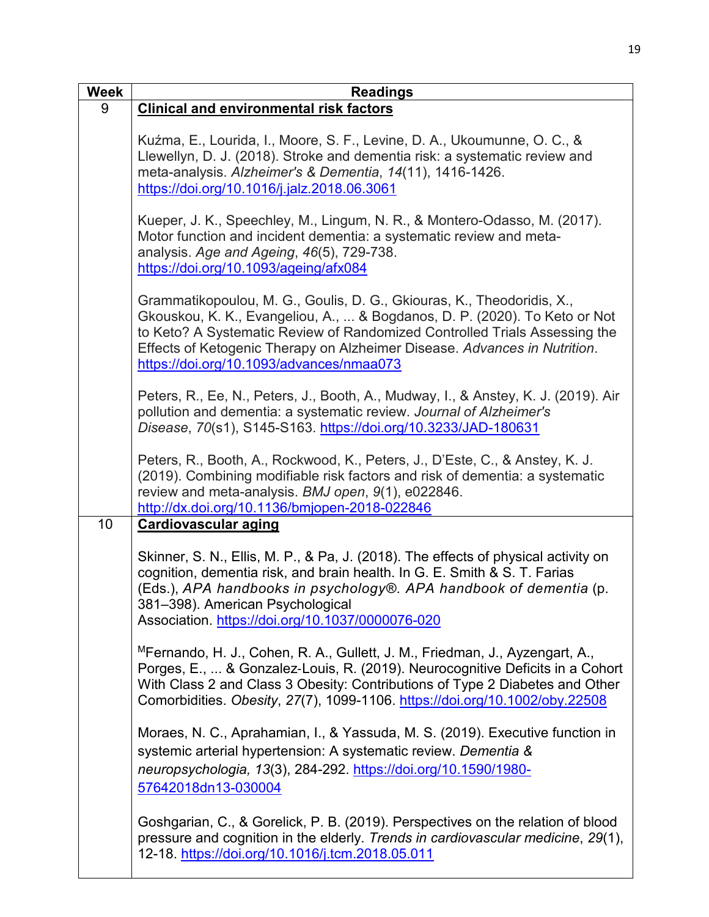| <b>Week</b> | <b>Readings</b>                                                                                                                                                                                                                                                                                                                                             |
|-------------|-------------------------------------------------------------------------------------------------------------------------------------------------------------------------------------------------------------------------------------------------------------------------------------------------------------------------------------------------------------|
| 9           | <b>Clinical and environmental risk factors</b>                                                                                                                                                                                                                                                                                                              |
|             | Kuźma, E., Lourida, I., Moore, S. F., Levine, D. A., Ukoumunne, O. C., &<br>Llewellyn, D. J. (2018). Stroke and dementia risk: a systematic review and<br>meta-analysis. Alzheimer's & Dementia, 14(11), 1416-1426.<br>https://doi.org/10.1016/j.jalz.2018.06.3061                                                                                          |
|             | Kueper, J. K., Speechley, M., Lingum, N. R., & Montero-Odasso, M. (2017).<br>Motor function and incident dementia: a systematic review and meta-<br>analysis. Age and Ageing, 46(5), 729-738.<br>https://doi.org/10.1093/ageing/afx084                                                                                                                      |
|             | Grammatikopoulou, M. G., Goulis, D. G., Gkiouras, K., Theodoridis, X.,<br>Gkouskou, K. K., Evangeliou, A.,  & Bogdanos, D. P. (2020). To Keto or Not<br>to Keto? A Systematic Review of Randomized Controlled Trials Assessing the<br>Effects of Ketogenic Therapy on Alzheimer Disease. Advances in Nutrition.<br>https://doi.org/10.1093/advances/nmaa073 |
|             | Peters, R., Ee, N., Peters, J., Booth, A., Mudway, I., & Anstey, K. J. (2019). Air<br>pollution and dementia: a systematic review. Journal of Alzheimer's<br>Disease, 70(s1), S145-S163. https://doi.org/10.3233/JAD-180631                                                                                                                                 |
|             | Peters, R., Booth, A., Rockwood, K., Peters, J., D'Este, C., & Anstey, K. J.<br>(2019). Combining modifiable risk factors and risk of dementia: a systematic<br>review and meta-analysis. BMJ open, 9(1), e022846.<br>http://dx.doi.org/10.1136/bmjopen-2018-022846                                                                                         |
| 10          | <b>Cardiovascular aging</b>                                                                                                                                                                                                                                                                                                                                 |
|             | Skinner, S. N., Ellis, M. P., & Pa, J. (2018). The effects of physical activity on<br>cognition, dementia risk, and brain health. In G. E. Smith & S. T. Farias<br>(Eds.), APA handbooks in psychology®. APA handbook of dementia (p.<br>381-398). American Psychological<br>Association. https://doi.org/10.1037/0000076-020                               |
|             | <sup>M</sup> Fernando, H. J., Cohen, R. A., Gullett, J. M., Friedman, J., Ayzengart, A.,<br>Porges, E.,  & Gonzalez-Louis, R. (2019). Neurocognitive Deficits in a Cohort<br>With Class 2 and Class 3 Obesity: Contributions of Type 2 Diabetes and Other<br>Comorbidities. Obesity, 27(7), 1099-1106. https://doi.org/10.1002/oby.22508                    |
|             | Moraes, N. C., Aprahamian, I., & Yassuda, M. S. (2019). Executive function in<br>systemic arterial hypertension: A systematic review. Dementia &<br>neuropsychologia, 13(3), 284-292. https://doi.org/10.1590/1980-<br>57642018dn13-030004                                                                                                                  |
|             | Goshgarian, C., & Gorelick, P. B. (2019). Perspectives on the relation of blood<br>pressure and cognition in the elderly. Trends in cardiovascular medicine, 29(1),<br>12-18. https://doi.org/10.1016/j.tcm.2018.05.011                                                                                                                                     |